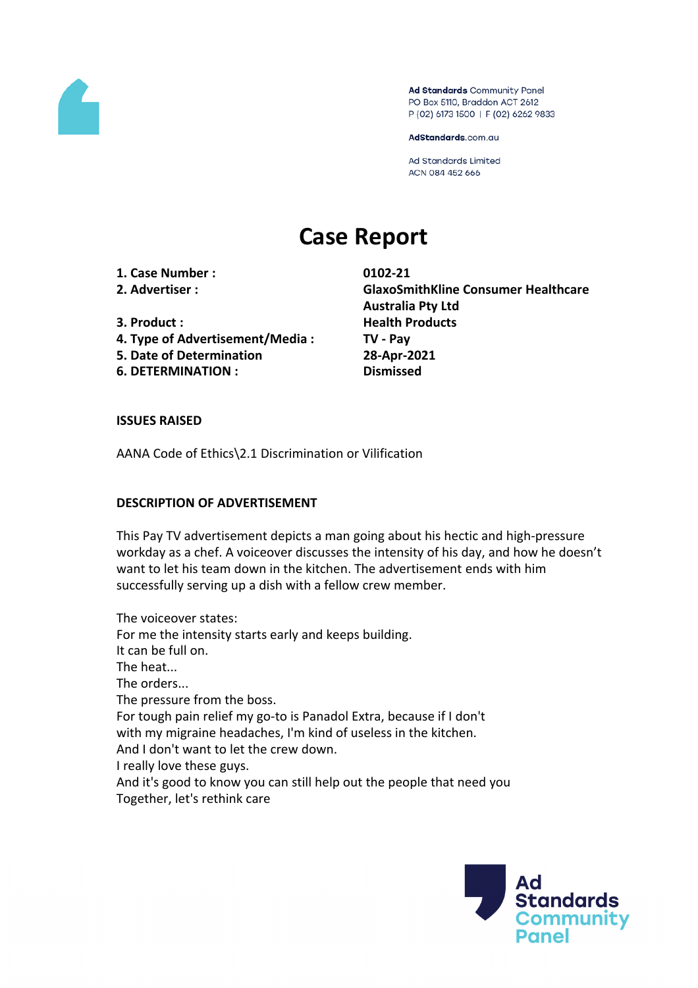

Ad Standards Community Panel PO Box 5110, Braddon ACT 2612 P (02) 6173 1500 | F (02) 6262 9833

AdStandards.com.au

**Ad Standards Limited** ACN 084 452 666

# **Case Report**

**1. Case Number : 0102-21**

- 
- 
- **4. Type of Advertisement/Media : TV - Pay**
- **5. Date of Determination 28-Apr-2021**
- **6. DETERMINATION : Dismissed**

**2. Advertiser : GlaxoSmithKline Consumer Healthcare Australia Pty Ltd 3. Product**: **Health Products** 

#### **ISSUES RAISED**

AANA Code of Ethics\2.1 Discrimination or Vilification

## **DESCRIPTION OF ADVERTISEMENT**

This Pay TV advertisement depicts a man going about his hectic and high-pressure workday as a chef. A voiceover discusses the intensity of his day, and how he doesn't want to let his team down in the kitchen. The advertisement ends with him successfully serving up a dish with a fellow crew member.

The voiceover states: For me the intensity starts early and keeps building. It can be full on. The heat... The orders... The pressure from the boss. For tough pain relief my go-to is Panadol Extra, because if I don't with my migraine headaches, I'm kind of useless in the kitchen. And I don't want to let the crew down. I really love these guys. And it's good to know you can still help out the people that need you Together, let's rethink care

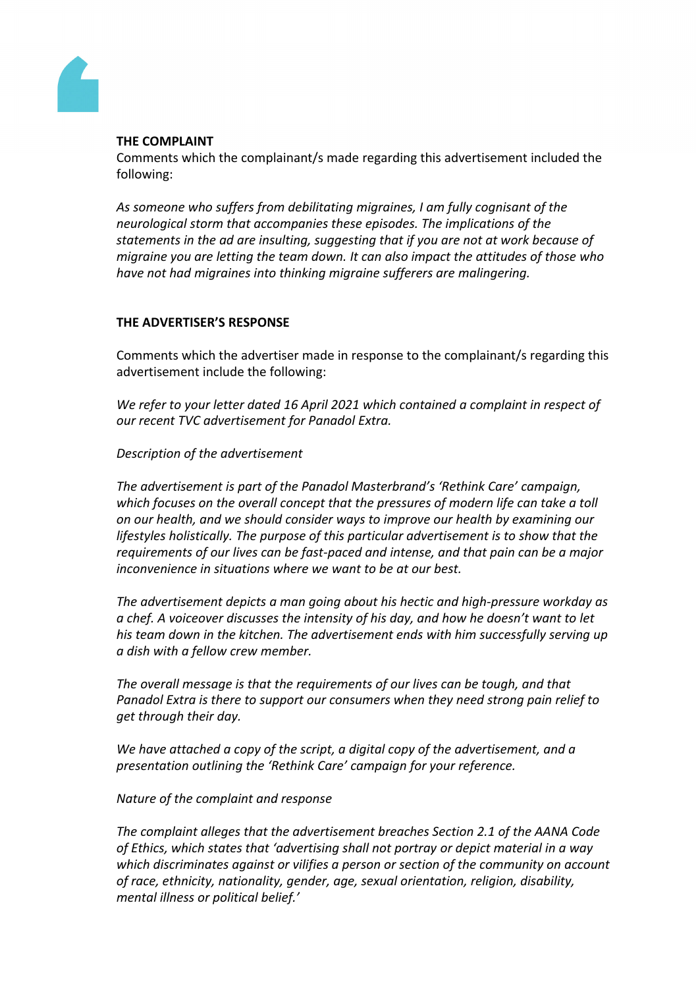

# **THE COMPLAINT**

Comments which the complainant/s made regarding this advertisement included the following:

*As someone who suffers from debilitating migraines, I am fully cognisant of the neurological storm that accompanies these episodes. The implications of the statements in the ad are insulting, suggesting that if you are not at work because of migraine you are letting the team down. It can also impact the attitudes of those who have not had migraines into thinking migraine sufferers are malingering.*

# **THE ADVERTISER'S RESPONSE**

Comments which the advertiser made in response to the complainant/s regarding this advertisement include the following:

*We refer to your letter dated 16 April 2021 which contained a complaint in respect of our recent TVC advertisement for Panadol Extra.*

# *Description of the advertisement*

*The advertisement is part of the Panadol Masterbrand's 'Rethink Care' campaign, which focuses on the overall concept that the pressures of modern life can take a toll on our health, and we should consider ways to improve our health by examining our lifestyles holistically. The purpose of this particular advertisement is to show that the requirements of our lives can be fast-paced and intense, and that pain can be a major inconvenience in situations where we want to be at our best.*

*The advertisement depicts a man going about his hectic and high-pressure workday as a chef. A voiceover discusses the intensity of his day, and how he doesn't want to let his team down in the kitchen. The advertisement ends with him successfully serving up a dish with a fellow crew member.*

*The overall message is that the requirements of our lives can be tough, and that Panadol Extra is there to support our consumers when they need strong pain relief to get through their day.* 

*We have attached a copy of the script, a digital copy of the advertisement, and a presentation outlining the 'Rethink Care' campaign for your reference.*

## *Nature of the complaint and response*

*The complaint alleges that the advertisement breaches Section 2.1 of the AANA Code of Ethics, which states that 'advertising shall not portray or depict material in a way which discriminates against or vilifies a person or section of the community on account of race, ethnicity, nationality, gender, age, sexual orientation, religion, disability, mental illness or political belief.'*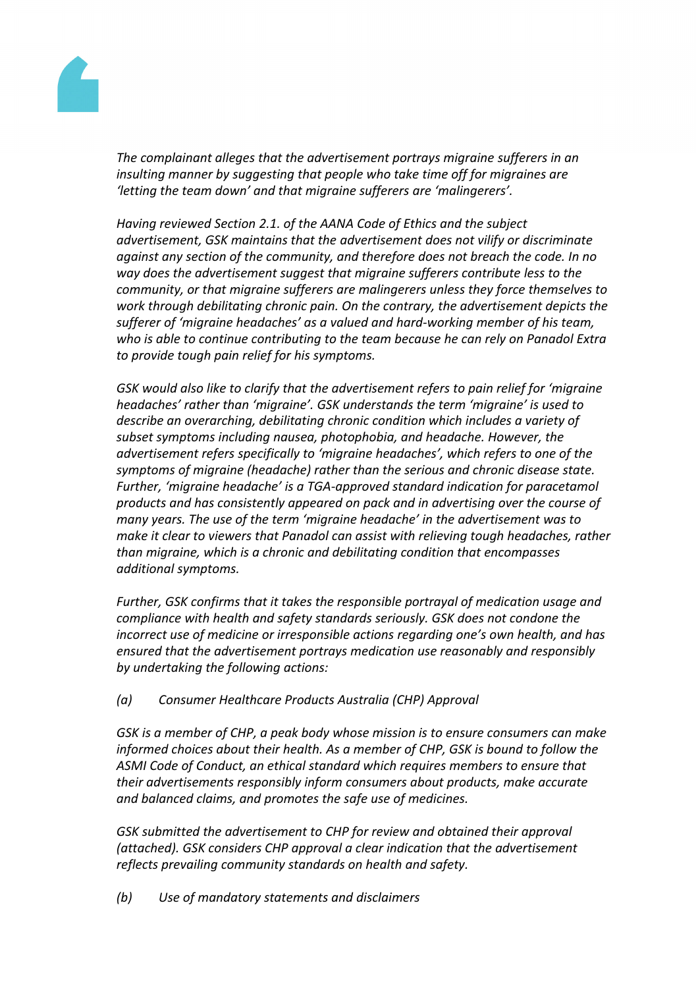

*The complainant alleges that the advertisement portrays migraine sufferers in an insulting manner by suggesting that people who take time off for migraines are 'letting the team down' and that migraine sufferers are 'malingerers'.*

*Having reviewed Section 2.1. of the AANA Code of Ethics and the subject advertisement, GSK maintains that the advertisement does not vilify or discriminate against any section of the community, and therefore does not breach the code. In no way does the advertisement suggest that migraine sufferers contribute less to the community, or that migraine sufferers are malingerers unless they force themselves to work through debilitating chronic pain. On the contrary, the advertisement depicts the sufferer of 'migraine headaches' as a valued and hard-working member of his team, who is able to continue contributing to the team because he can rely on Panadol Extra to provide tough pain relief for his symptoms.*

*GSK would also like to clarify that the advertisement refers to pain relief for 'migraine headaches' rather than 'migraine'. GSK understands the term 'migraine' is used to describe an overarching, debilitating chronic condition which includes a variety of subset symptoms including nausea, photophobia, and headache. However, the advertisement refers specifically to 'migraine headaches', which refers to one of the symptoms of migraine (headache) rather than the serious and chronic disease state. Further, 'migraine headache' is a TGA-approved standard indication for paracetamol products and has consistently appeared on pack and in advertising over the course of many years. The use of the term 'migraine headache' in the advertisement was to make it clear to viewers that Panadol can assist with relieving tough headaches, rather than migraine, which is a chronic and debilitating condition that encompasses additional symptoms.*

*Further, GSK confirms that it takes the responsible portrayal of medication usage and compliance with health and safety standards seriously. GSK does not condone the incorrect use of medicine or irresponsible actions regarding one's own health, and has ensured that the advertisement portrays medication use reasonably and responsibly by undertaking the following actions:*

*(a) Consumer Healthcare Products Australia (CHP) Approval*

*GSK is a member of CHP, a peak body whose mission is to ensure consumers can make informed choices about their health. As a member of CHP, GSK is bound to follow the ASMI Code of Conduct, an ethical standard which requires members to ensure that their advertisements responsibly inform consumers about products, make accurate and balanced claims, and promotes the safe use of medicines.*

*GSK submitted the advertisement to CHP for review and obtained their approval (attached). GSK considers CHP approval a clear indication that the advertisement reflects prevailing community standards on health and safety.*

*(b) Use of mandatory statements and disclaimers*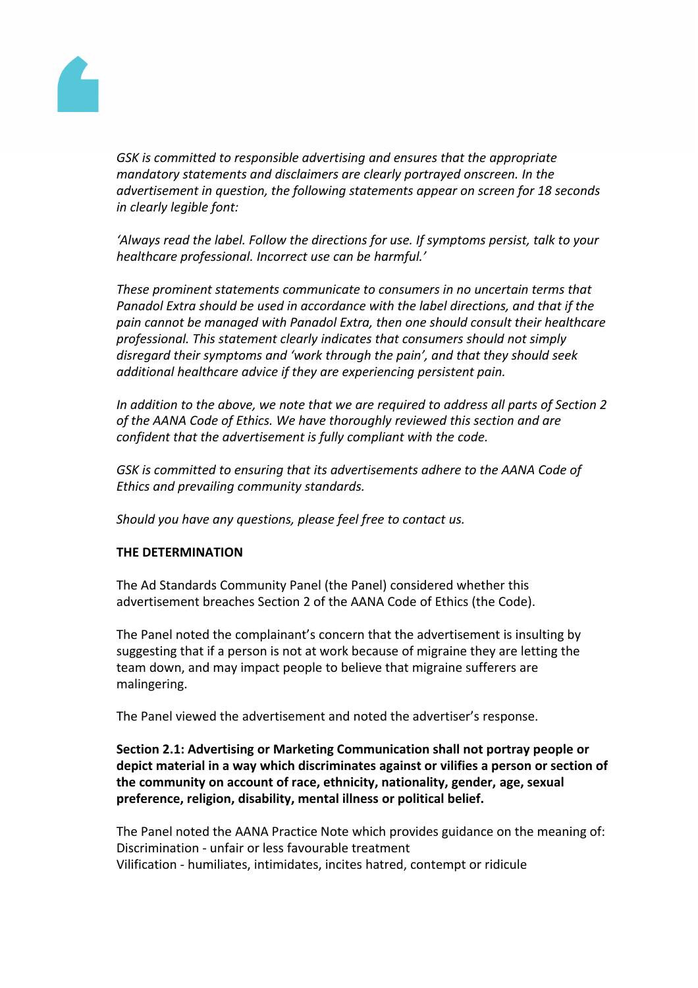

*GSK is committed to responsible advertising and ensures that the appropriate mandatory statements and disclaimers are clearly portrayed onscreen. In the advertisement in question, the following statements appear on screen for 18 seconds in clearly legible font:*

*'Always read the label. Follow the directions for use. If symptoms persist, talk to your healthcare professional. Incorrect use can be harmful.'*

*These prominent statements communicate to consumers in no uncertain terms that Panadol Extra should be used in accordance with the label directions, and that if the pain cannot be managed with Panadol Extra, then one should consult their healthcare professional. This statement clearly indicates that consumers should not simply disregard their symptoms and 'work through the pain', and that they should seek additional healthcare advice if they are experiencing persistent pain.*

*In addition to the above, we note that we are required to address all parts of Section 2 of the AANA Code of Ethics. We have thoroughly reviewed this section and are confident that the advertisement is fully compliant with the code.*

*GSK is committed to ensuring that its advertisements adhere to the AANA Code of Ethics and prevailing community standards.*

*Should you have any questions, please feel free to contact us.*

## **THE DETERMINATION**

The Ad Standards Community Panel (the Panel) considered whether this advertisement breaches Section 2 of the AANA Code of Ethics (the Code).

The Panel noted the complainant's concern that the advertisement is insulting by suggesting that if a person is not at work because of migraine they are letting the team down, and may impact people to believe that migraine sufferers are malingering.

The Panel viewed the advertisement and noted the advertiser's response.

# **Section 2.1: Advertising or Marketing Communication shall not portray people or depict material in a way which discriminates against or vilifies a person or section of the community on account of race, ethnicity, nationality, gender, age, sexual preference, religion, disability, mental illness or political belief.**

The Panel noted the AANA Practice Note which provides guidance on the meaning of: Discrimination - unfair or less favourable treatment Vilification - humiliates, intimidates, incites hatred, contempt or ridicule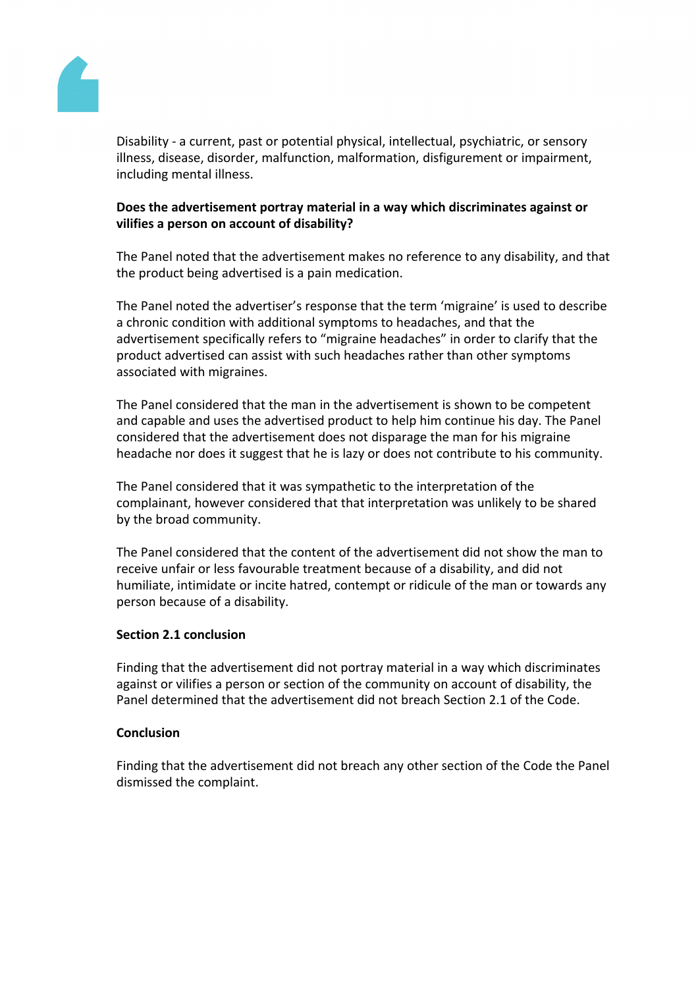

Disability - a current, past or potential physical, intellectual, psychiatric, or sensory illness, disease, disorder, malfunction, malformation, disfigurement or impairment, including mental illness.

# **Does the advertisement portray material in a way which discriminates against or vilifies a person on account of disability?**

The Panel noted that the advertisement makes no reference to any disability, and that the product being advertised is a pain medication.

The Panel noted the advertiser's response that the term 'migraine' is used to describe a chronic condition with additional symptoms to headaches, and that the advertisement specifically refers to "migraine headaches" in order to clarify that the product advertised can assist with such headaches rather than other symptoms associated with migraines.

The Panel considered that the man in the advertisement is shown to be competent and capable and uses the advertised product to help him continue his day. The Panel considered that the advertisement does not disparage the man for his migraine headache nor does it suggest that he is lazy or does not contribute to his community.

The Panel considered that it was sympathetic to the interpretation of the complainant, however considered that that interpretation was unlikely to be shared by the broad community.

The Panel considered that the content of the advertisement did not show the man to receive unfair or less favourable treatment because of a disability, and did not humiliate, intimidate or incite hatred, contempt or ridicule of the man or towards any person because of a disability.

#### **Section 2.1 conclusion**

Finding that the advertisement did not portray material in a way which discriminates against or vilifies a person or section of the community on account of disability, the Panel determined that the advertisement did not breach Section 2.1 of the Code.

#### **Conclusion**

Finding that the advertisement did not breach any other section of the Code the Panel dismissed the complaint.